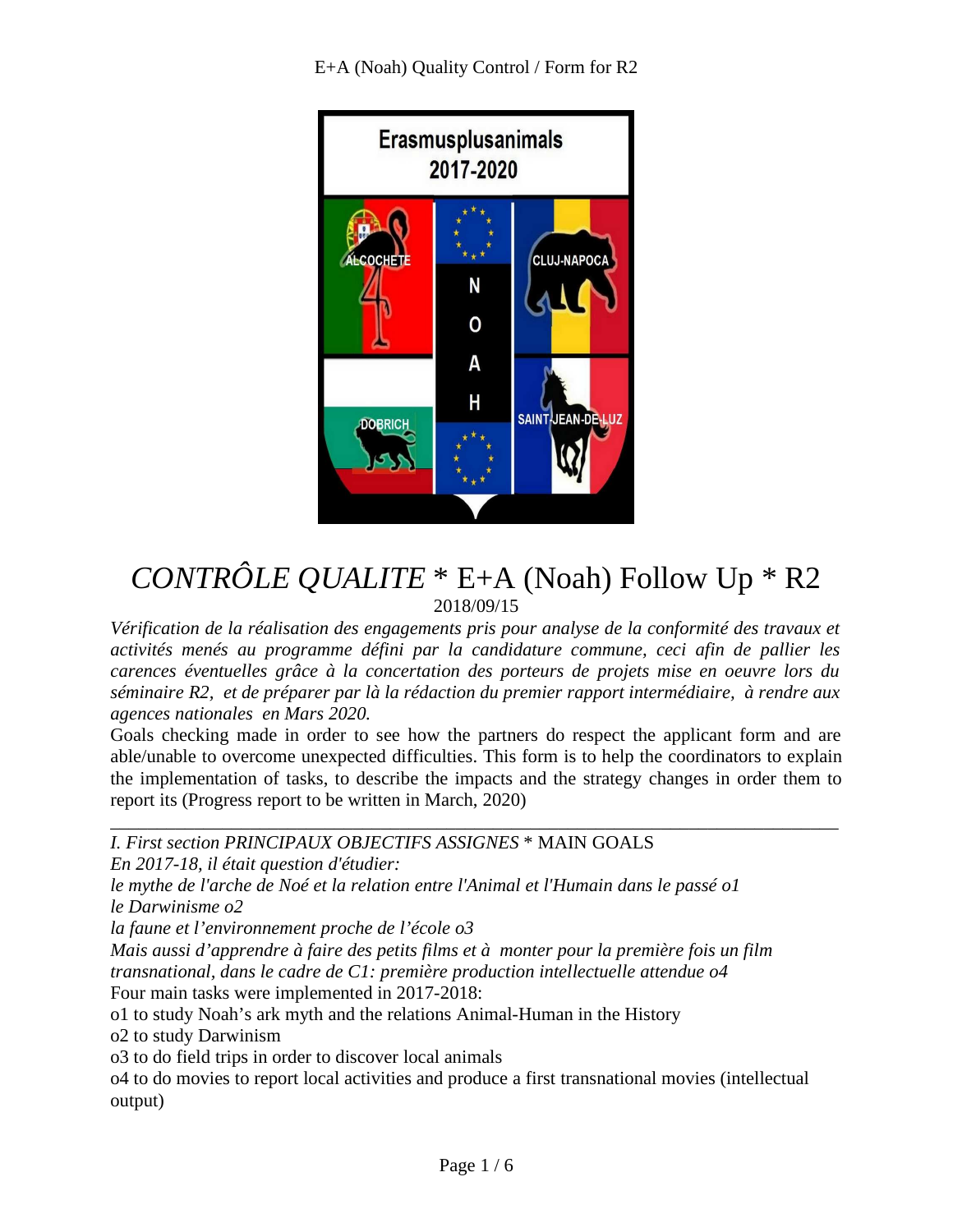E+A (Noah) Quality Control / Form for R2



# *CONTRÔLE QUALITE* \* E+A (Noah) Follow Up \* R2 2018/09/15

Vérification de la réalisation des engagements pris pour analyse de la conformité des travaux et *activités menés au programme défini par la candidature commune, ceci afin de pallier les carences éventuelles grâce à la concertation des porteurs de projets mise en oeuvre lors du séminaire R2, et de préparer par là la rédaction du premier rapport intermédiaire, à rendre aux agences nationales en Mars 2020.*

Goals checking made in order to see how the partners do respect the applicant form and are able/unable to overcome unexpected difficulties. This form is to help the coordinators to explain the implementation of tasks, to describe the impacts and the strategy changes in order them to report its (Progress report to be written in March, 2020)

*\_\_\_\_\_\_\_\_\_\_\_\_\_\_\_\_\_\_\_\_\_\_\_\_\_\_\_\_\_\_\_\_\_\_\_\_\_\_\_\_\_\_\_\_\_\_\_\_\_\_\_\_\_\_\_\_\_\_\_\_\_\_\_\_\_\_\_\_\_\_\_\_\_\_\_\_\_\_*

*I. First section PRINCIPAUX OBJECTIFS ASSIGNES* \* MAIN GOALS

*En 2017-18, il était question d'étudier:*

*le mythe de l'arche de Noé et la relation entre l'Animal et l'Humain dans le passé o1 le Darwinisme o2*

*la faune et l'environnement proche de l'école o3*

*Mais aussi d'apprendre à faire des petits films et à monter pour la première fois un film transnational, dans le cadre de C1: première production intellectuelle attendue o4* Four main tasks were implemented in 2017-2018:

o1 to study Noah's ark myth and the relations Animal-Human in the History

o2 to study Darwinism

o3 to do field trips in order to discover local animals

o4 to do movies to report local activities and produce a first transnational movies (intellectual output)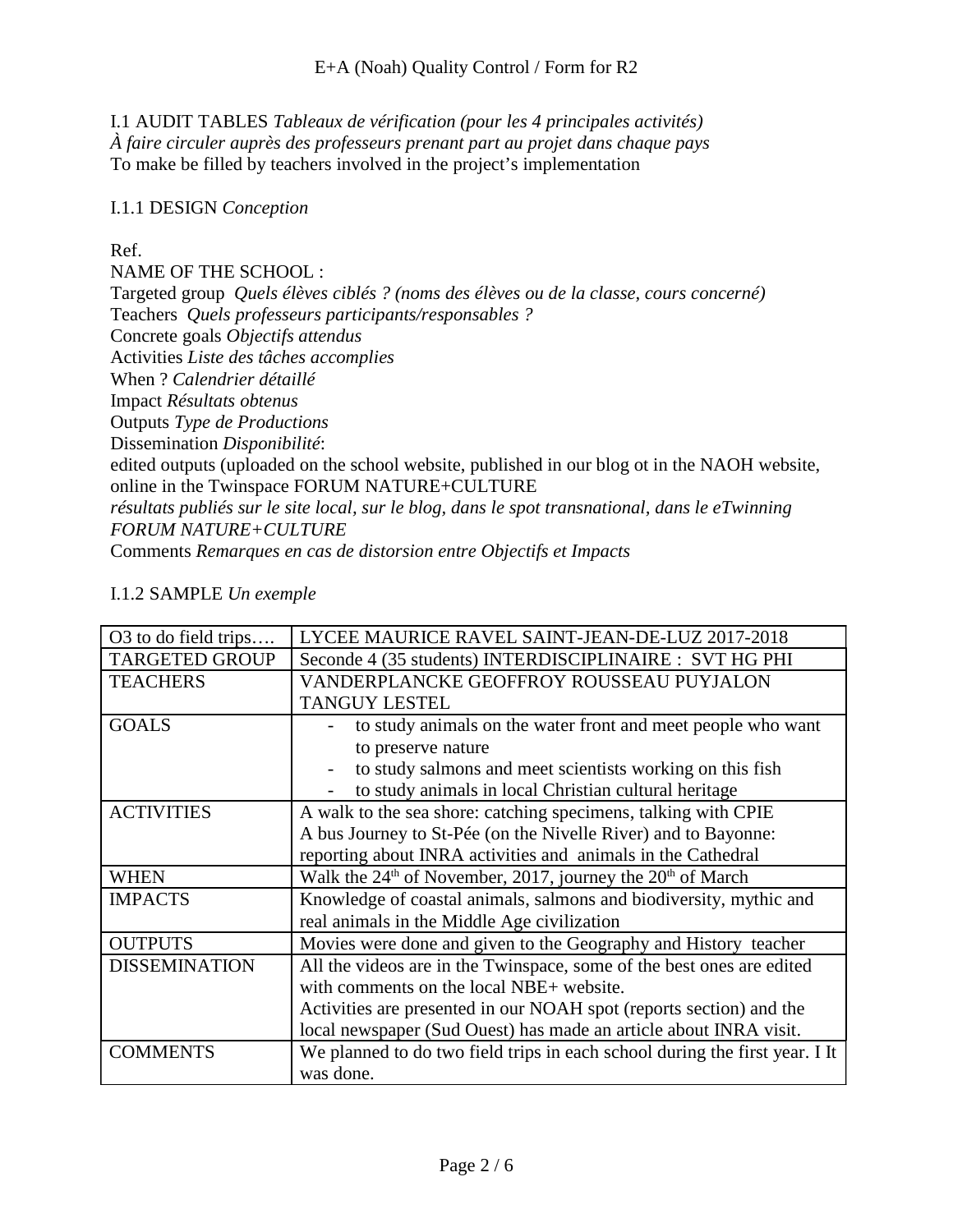I.1 AUDIT TABLES *Tableaux de vérification (pour les 4 principales activités) À faire circuler auprès des professeurs prenant part au projet dans chaque pays* To make be filled by teachers involved in the project's implementation

#### I.1.1 DESIGN *Conception*

#### Ref.

NAME OF THE SCHOOL :

Targeted group *Quels élèves ciblés ? (noms des élèves ou de la classe, cours concerné)* Teachers *Quels professeurs participants/responsables ?*

Concrete goals *Objectifs attendus*

Activities *Liste des tâches accomplies*

When ? *Calendrier détaillé*

Impact *Résultats obtenus*

Outputs *Type de Productions*

Dissemination *Disponibilité*:

edited outputs (uploaded on the school website, published in our blog ot in the NAOH website, online in the Twinspace FORUM NATURE+CULTURE

*résultats publiés sur le site local, sur le blog, dans le spot transnational, dans le eTwinning FORUM NATURE+CULTURE* 

Comments *Remarques en cas de distorsion entre Objectifs et Impacts*

### I.1.2 SAMPLE *Un exemple*

| O <sub>3</sub> to do field trips | LYCEE MAURICE RAVEL SAINT-JEAN-DE-LUZ 2017-2018                             |
|----------------------------------|-----------------------------------------------------------------------------|
| <b>TARGETED GROUP</b>            | Seconde 4 (35 students) INTERDISCIPLINAIRE : SVT HG PHI                     |
| <b>TEACHERS</b>                  | VANDERPLANCKE GEOFFROY ROUSSEAU PUYJALON                                    |
|                                  | <b>TANGUY LESTEL</b>                                                        |
| <b>GOALS</b>                     | to study animals on the water front and meet people who want                |
|                                  | to preserve nature                                                          |
|                                  | to study salmons and meet scientists working on this fish                   |
|                                  | to study animals in local Christian cultural heritage                       |
| <b>ACTIVITIES</b>                | A walk to the sea shore: catching specimens, talking with CPIE              |
|                                  | A bus Journey to St-Pée (on the Nivelle River) and to Bayonne:              |
|                                  | reporting about INRA activities and animals in the Cathedral                |
| <b>WHEN</b>                      | Walk the $24th$ of November, 2017, journey the $20th$ of March              |
| <b>IMPACTS</b>                   | Knowledge of coastal animals, salmons and biodiversity, mythic and          |
|                                  | real animals in the Middle Age civilization                                 |
| <b>OUTPUTS</b>                   | Movies were done and given to the Geography and History teacher             |
| <b>DISSEMINATION</b>             | All the videos are in the Twinspace, some of the best ones are edited       |
|                                  | with comments on the local NBE+ website.                                    |
|                                  | Activities are presented in our NOAH spot (reports section) and the         |
|                                  | local newspaper (Sud Ouest) has made an article about INRA visit.           |
| <b>COMMENTS</b>                  | We planned to do two field trips in each school during the first year. I It |
|                                  | was done.                                                                   |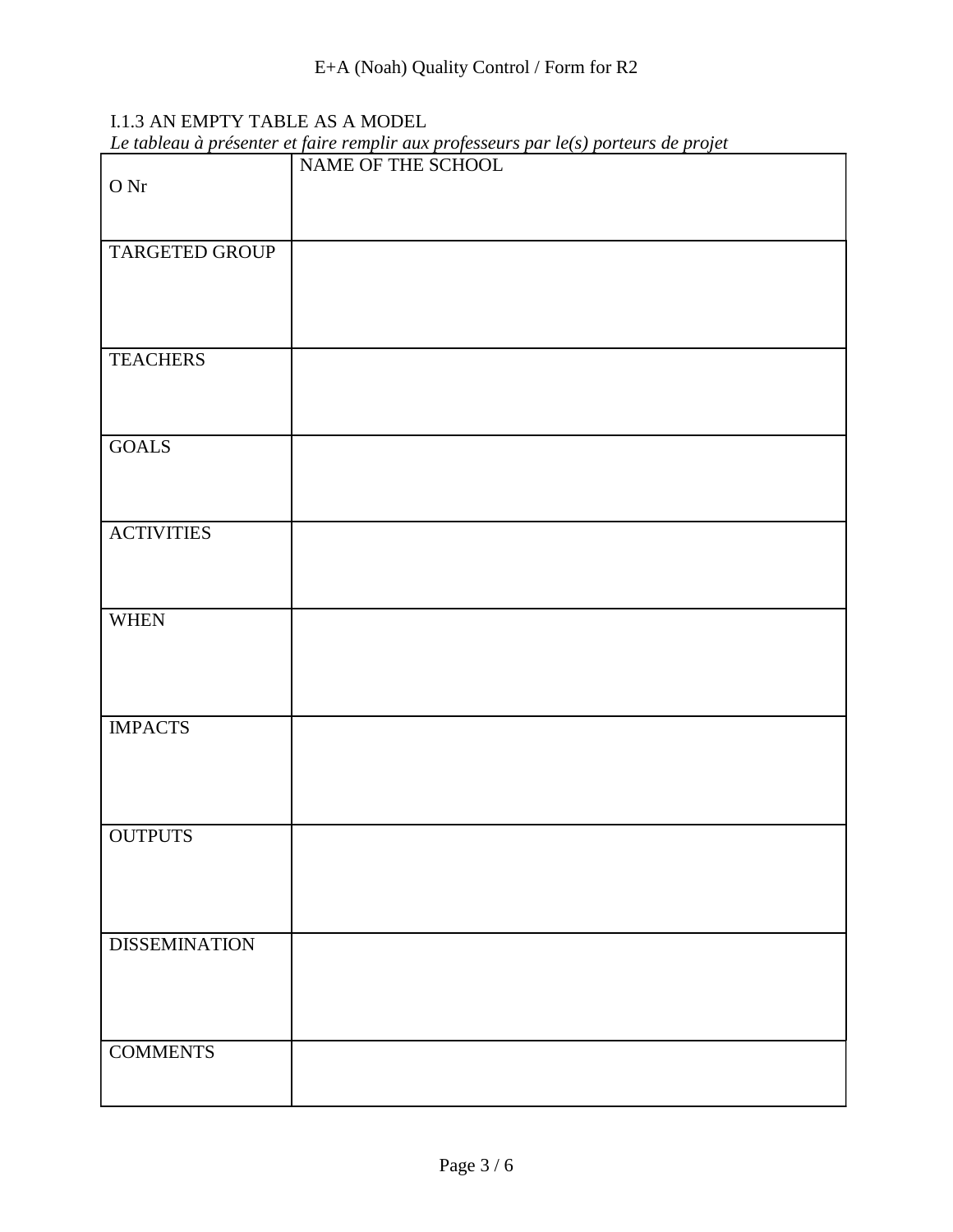## I.1.3 AN EMPTY TABLE AS A MODEL

| Le tableau à présenter et faire remplir aux professeurs par $l e(s)$ porteurs de projet |  |  |  |
|-----------------------------------------------------------------------------------------|--|--|--|
|                                                                                         |  |  |  |

|                      | Le moreum a présenter ci juin crempior aux projesseurs par texts porteurs ac projet<br>NAME OF THE SCHOOL |
|----------------------|-----------------------------------------------------------------------------------------------------------|
| $\hbox{O\,{\sc Ni}}$ |                                                                                                           |
|                      |                                                                                                           |
|                      |                                                                                                           |
|                      |                                                                                                           |
| TARGETED GROUP       |                                                                                                           |
|                      |                                                                                                           |
|                      |                                                                                                           |
|                      |                                                                                                           |
|                      |                                                                                                           |
| <b>TEACHERS</b>      |                                                                                                           |
|                      |                                                                                                           |
|                      |                                                                                                           |
|                      |                                                                                                           |
| <b>GOALS</b>         |                                                                                                           |
|                      |                                                                                                           |
|                      |                                                                                                           |
|                      |                                                                                                           |
| <b>ACTIVITIES</b>    |                                                                                                           |
|                      |                                                                                                           |
|                      |                                                                                                           |
|                      |                                                                                                           |
| <b>WHEN</b>          |                                                                                                           |
|                      |                                                                                                           |
|                      |                                                                                                           |
|                      |                                                                                                           |
|                      |                                                                                                           |
|                      |                                                                                                           |
| <b>IMPACTS</b>       |                                                                                                           |
|                      |                                                                                                           |
|                      |                                                                                                           |
|                      |                                                                                                           |
|                      |                                                                                                           |
| <b>OUTPUTS</b>       |                                                                                                           |
|                      |                                                                                                           |
|                      |                                                                                                           |
|                      |                                                                                                           |
|                      |                                                                                                           |
| <b>DISSEMINATION</b> |                                                                                                           |
|                      |                                                                                                           |
|                      |                                                                                                           |
|                      |                                                                                                           |
|                      |                                                                                                           |
| <b>COMMENTS</b>      |                                                                                                           |
|                      |                                                                                                           |
|                      |                                                                                                           |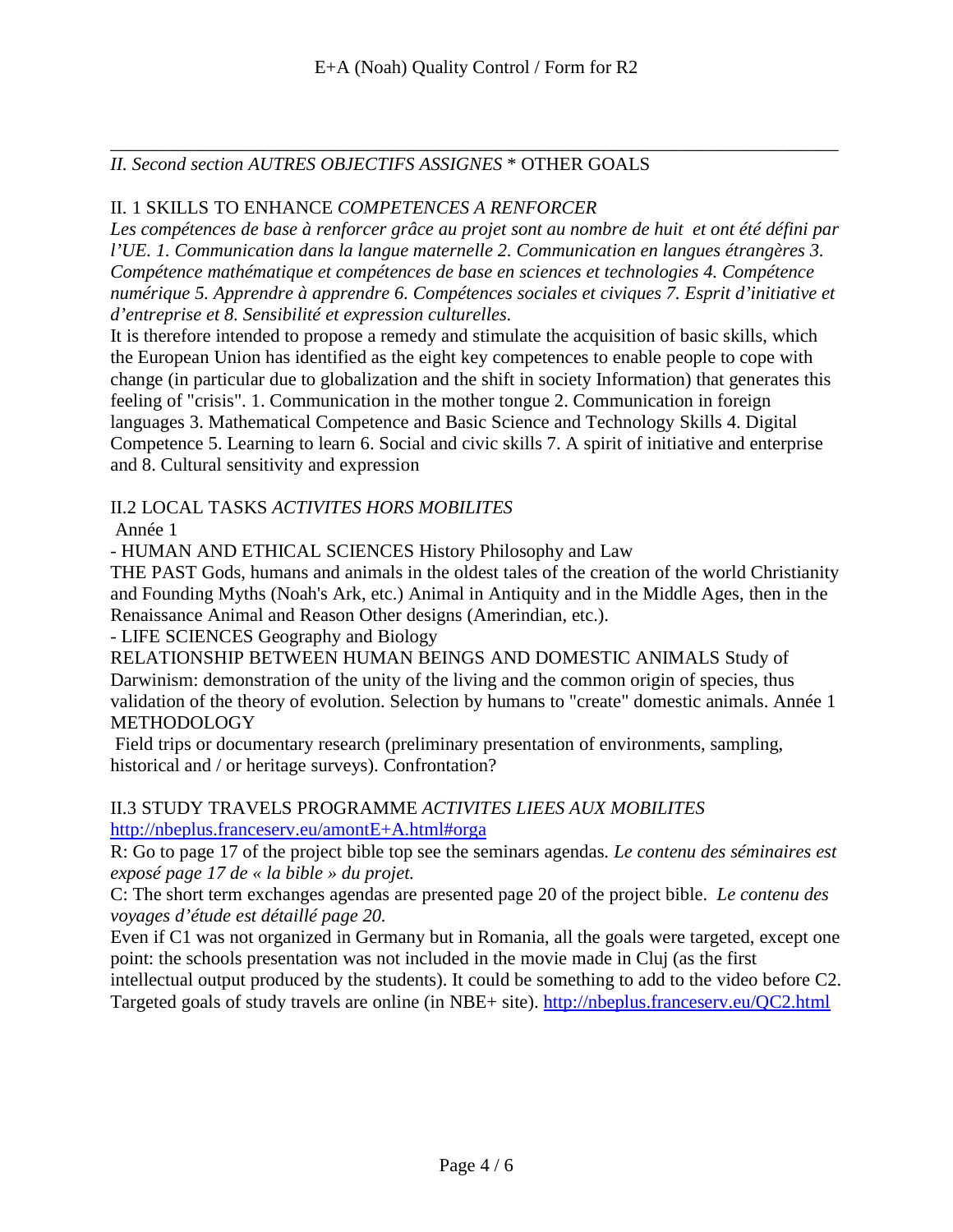#### *\_\_\_\_\_\_\_\_\_\_\_\_\_\_\_\_\_\_\_\_\_\_\_\_\_\_\_\_\_\_\_\_\_\_\_\_\_\_\_\_\_\_\_\_\_\_\_\_\_\_\_\_\_\_\_\_\_\_\_\_\_\_\_\_\_\_\_\_\_\_\_\_\_\_\_\_\_\_ II. Second section AUTRES OBJECTIFS ASSIGNES* \* OTHER GOALS

### II. 1 SKILLS TO ENHANCE *COMPETENCES A RENFORCER*

*Les compétences de base à renforcer grâce au projet sont au nombre de huit et ont été défini par l'UE. 1. Communication dans la langue maternelle 2. Communication en langues étrangères 3. Compétence mathématique et compétences de base en sciences et technologies 4. Compétence numérique 5. Apprendre à apprendre 6. Compétences sociales et civiques 7. Esprit d'initiative et d'entreprise et 8. Sensibilité et expression culturelles.* 

It is therefore intended to propose a remedy and stimulate the acquisition of basic skills, which the European Union has identified as the eight key competences to enable people to cope with change (in particular due to globalization and the shift in society Information) that generates this feeling of "crisis". 1. Communication in the mother tongue 2. Communication in foreign languages 3. Mathematical Competence and Basic Science and Technology Skills 4. Digital Competence 5. Learning to learn 6. Social and civic skills 7. A spirit of initiative and enterprise and 8. Cultural sensitivity and expression

### II.2 LOCAL TASKS *ACTIVITES HORS MOBILITES*

Année 1

- HUMAN AND ETHICAL SCIENCES History Philosophy and Law

THE PAST Gods, humans and animals in the oldest tales of the creation of the world Christianity and Founding Myths (Noah's Ark, etc.) Animal in Antiquity and in the Middle Ages, then in the Renaissance Animal and Reason Other designs (Amerindian, etc.).

#### - LIFE SCIENCES Geography and Biology

RELATIONSHIP BETWEEN HUMAN BEINGS AND DOMESTIC ANIMALS Study of Darwinism: demonstration of the unity of the living and the common origin of species, thus validation of the theory of evolution. Selection by humans to "create" domestic animals. Année 1 **METHODOLOGY** 

 Field trips or documentary research (preliminary presentation of environments, sampling, historical and / or heritage surveys). Confrontation?

## II.3 STUDY TRAVELS PROGRAMME *ACTIVITES LIEES AUX MOBILITES*

http://nbeplus.franceserv.eu/amontE+A.html#orga

R: Go to page 17 of the project bible top see the seminars agendas. *Le contenu des séminaires est exposé page 17 de « la bible » du projet.*

C: The short term exchanges agendas are presented page 20 of the project bible. *Le contenu des voyages d'étude est détaillé page 20.*

Even if C1 was not organized in Germany but in Romania, all the goals were targeted, except one point: the schools presentation was not included in the movie made in Cluj (as the first intellectual output produced by the students). It could be something to add to the video before C2.

Targeted goals of study travels are online (in NBE+ site). http://nbeplus.franceserv.eu/QC2.html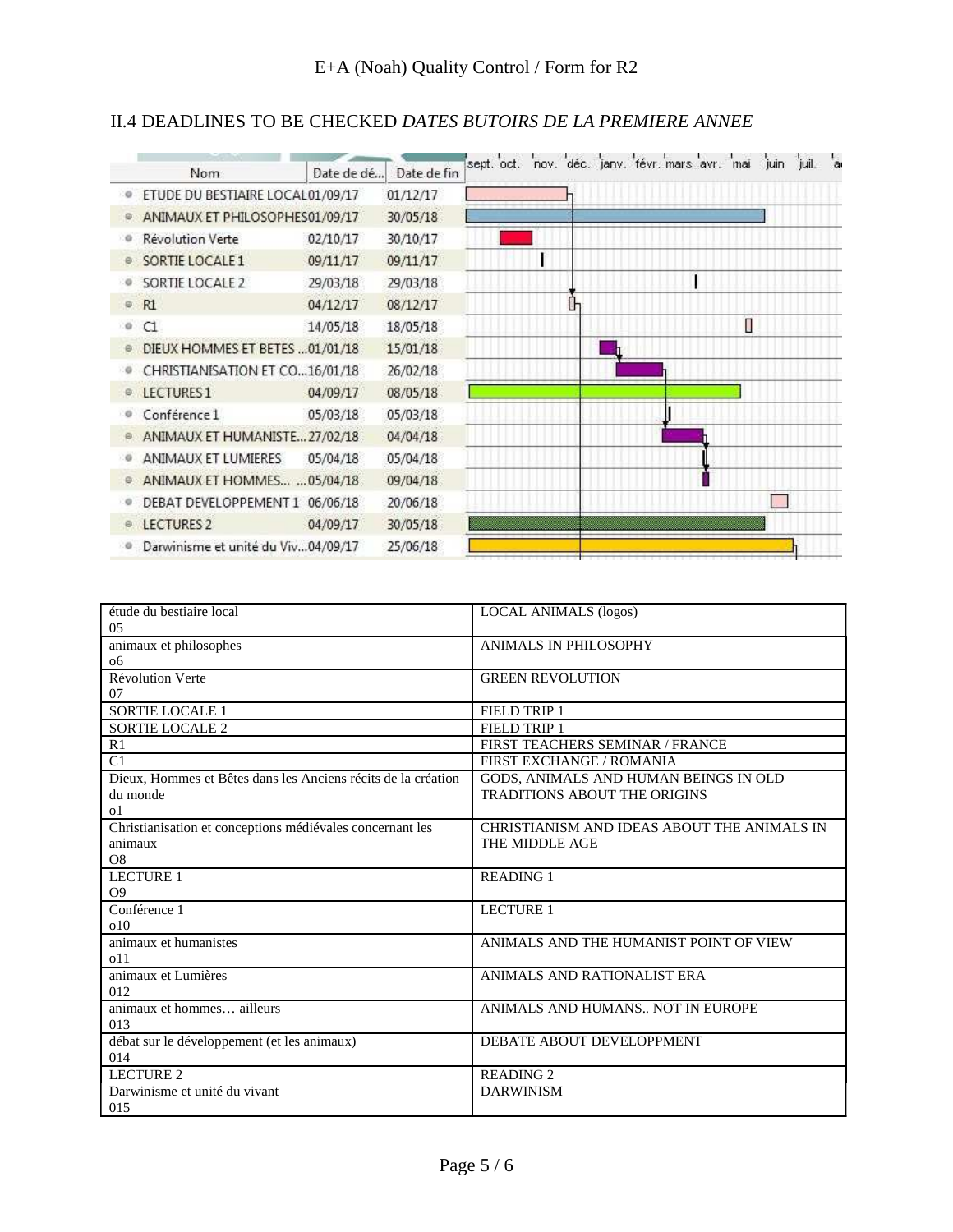# II.4 DEADLINES TO BE CHECKED *DATES BUTOIRS DE LA PREMIERE ANNEE*

|    |                                    |            |             | sept. oct. nov. déc. janv. févr. mars avr. mai |   |  |   | juin | juil. <sup>I</sup> ai |  |
|----|------------------------------------|------------|-------------|------------------------------------------------|---|--|---|------|-----------------------|--|
|    | Nom:                               | Date de dé | Date de fin |                                                |   |  |   |      |                       |  |
|    | ETUDE DU BESTIAIRE LOCAL01/09/17   |            | 01/12/17    |                                                |   |  |   |      |                       |  |
|    | ANIMAUX ET PHILOSOPHES01/09/17     |            | 30/05/18    |                                                |   |  |   |      |                       |  |
|    | <b>Révolution Verte</b>            | 02/10/17   | 30/10/17    |                                                |   |  |   |      |                       |  |
|    | SORTIE LOCALE 1                    | 09/11/17   | 09/11/17    |                                                |   |  |   |      |                       |  |
|    | SORTIE LOCALE 2                    | 29/03/18   | 29/03/18    |                                                |   |  |   |      |                       |  |
| Θ. | R1                                 | 04/12/17   | 08/12/17    |                                                | ŀ |  |   |      |                       |  |
| o  | C1                                 | 14/05/18   | 18/05/18    |                                                |   |  | Ω |      |                       |  |
|    | DIEUX HOMMES ET BETES  01/01/18    |            | 15/01/18    |                                                |   |  |   |      |                       |  |
|    | CHRISTIANISATION ET CO16/01/18     |            | 26/02/18    |                                                |   |  |   |      |                       |  |
|    | LECTURES 1                         | 04/09/17   | 08/05/18    |                                                |   |  |   |      |                       |  |
|    | Conférence 1                       | 05/03/18   | 05/03/18    |                                                |   |  |   |      |                       |  |
|    | ANIMAUX ET HUMANISTE 27/02/18      |            | 04/04/18    |                                                |   |  |   |      |                       |  |
|    | ANIMAUX ET LUMIERES                | 05/04/18   | 05/04/18    |                                                |   |  |   |      |                       |  |
|    | ANIMAUX ET HOMMES  05/04/18        |            | 09/04/18    |                                                |   |  |   |      |                       |  |
|    | DEBAT DEVELOPPEMENT 1 06/06/18     |            | 20/06/18    |                                                |   |  |   |      |                       |  |
|    | LECTURES 2                         | 04/09/17   | 30/05/18    |                                                |   |  |   |      |                       |  |
|    | Darwinisme et unité du Viv04/09/17 |            | 25/06/18    |                                                |   |  |   |      |                       |  |

| étude du bestiaire local                                      | <b>LOCAL ANIMALS</b> (logos)                |
|---------------------------------------------------------------|---------------------------------------------|
| 05                                                            |                                             |
| animaux et philosophes                                        | ANIMALS IN PHILOSOPHY                       |
| 06                                                            |                                             |
| <b>Révolution Verte</b>                                       | <b>GREEN REVOLUTION</b>                     |
| 07                                                            |                                             |
| <b>SORTIE LOCALE 1</b>                                        | <b>FIELD TRIP 1</b>                         |
| <b>SORTIE LOCALE 2</b>                                        | FIELD TRIP 1                                |
| R1                                                            | FIRST TEACHERS SEMINAR / FRANCE             |
| C1                                                            | FIRST EXCHANGE / ROMANIA                    |
| Dieux. Hommes et Bêtes dans les Anciens récits de la création | GODS, ANIMALS AND HUMAN BEINGS IN OLD       |
| du monde                                                      | <b>TRADITIONS ABOUT THE ORIGINS</b>         |
| 01                                                            |                                             |
| Christianisation et conceptions médiévales concernant les     | CHRISTIANISM AND IDEAS ABOUT THE ANIMALS IN |
| animaux                                                       | THE MIDDLE AGE                              |
| O <sub>8</sub>                                                |                                             |
| LECTURE 1                                                     | <b>READING 1</b>                            |
| O <sub>9</sub>                                                |                                             |
| Conférence 1                                                  | <b>LECTURE 1</b>                            |
| 010                                                           |                                             |
| animaux et humanistes                                         | ANIMALS AND THE HUMANIST POINT OF VIEW      |
| 011                                                           |                                             |
| animaux et Lumières                                           | ANIMALS AND RATIONALIST ERA                 |
| 012                                                           |                                             |
| animaux et hommes ailleurs                                    | ANIMALS AND HUMANS NOT IN EUROPE            |
| 013                                                           |                                             |
| débat sur le développement (et les animaux)                   | DEBATE ABOUT DEVELOPPMENT                   |
| 014                                                           |                                             |
| LECTURE 2                                                     | <b>READING 2</b>                            |
| Darwinisme et unité du vivant                                 | <b>DARWINISM</b>                            |
| 015                                                           |                                             |